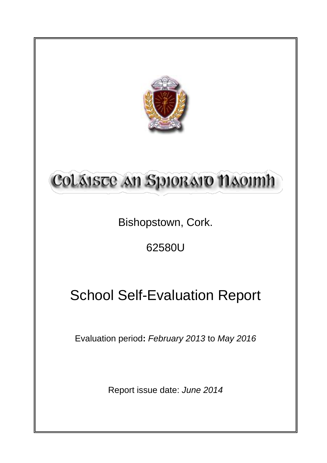

# Coláiste an Spioraio naoimh

Bishopstown, Cork.

62580U

## School Self-Evaluation Report

Evaluation period**:** *February 2013* to *May 2016*

Report issue date: *June 2014*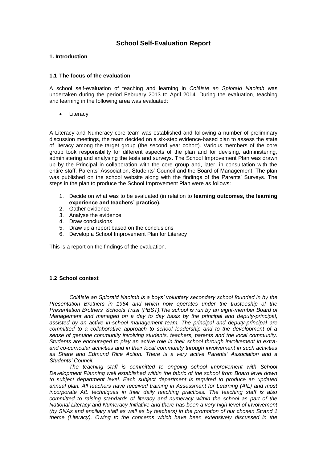## **School Self-Evaluation Report**

#### **1. Introduction**

#### **1.1 The focus of the evaluation**

A school self-evaluation of teaching and learning in *Coláiste an Spioraid Naoimh* was undertaken during the period February 2013 to April 2014. During the evaluation, teaching and learning in the following area was evaluated:

**Literacy** 

A Literacy and Numeracy core team was established and following a number of preliminary discussion meetings, the team decided on a six-step evidence-based plan to assess the state of literacy among the target group (the second year cohort). Various members of the core group took responsibility for different aspects of the plan and for devising, administering, administering and analysing the tests and surveys. The School Improvement Plan was drawn up by the Principal in collaboration with the core group and, later, in consultation with the entire staff, Parents' Association, Students' Council and the Board of Management. The plan was published on the school website along with the findings of the Parents' Surveys. The steps in the plan to produce the School Improvement Plan were as follows:

- 1. Decide on what was to be evaluated (in relation to **learning outcomes, the learning experience and teachers' practice).**
- 2. Gather evidence
- 3. Analyse the evidence
- 4. Draw conclusions
- 5. Draw up a report based on the conclusions
- 6. Develop a School Improvement Plan for Literacy

This is a report on the findings of the evaluation.

#### **1.2 School context**

*Coláiste an Spioraid Naoimh is a boys' voluntary secondary school founded in by the Presentation Brothers in 1964 and which now operates under the trusteeship of the Presentation Brothers' Schools Trust (PBST).The school is run by an eight-member Board of Management and managed on a day to day basis by the principal and deputy-principal, assisted by an active in-school management team. The principal and deputy-principal are committed to a collaborative approach to school leadership and to the development of a sense of genuine community involving students, teachers, parents and the local community. Students are encouraged to play an active role in their school through involvement in extraand co-curricular activities and in their local community through involvement in such activities as Share and Edmund Rice Action. There is a very active Parents' Association and a Students' Council.* 

*The teaching staff is committed to ongoing school improvement with School Development Planning well established within the fabric of the school from Board level down to subject department level. Each subject department is required to produce an updated annual plan. All teachers have received training in Assessment for Learning (AfL) and most incorporate AfL techniques in their daily teaching practices. The teaching staff is also committed to raising standards of literacy and numeracy within the school as part of the National Literacy and Numeracy Initiative and there has been a very high level of involvement (by SNAs and ancillary staff as well as by teachers) in the promotion of our chosen Strand 1 theme (Literacy). Owing to the concerns which have been extensively discussed in the*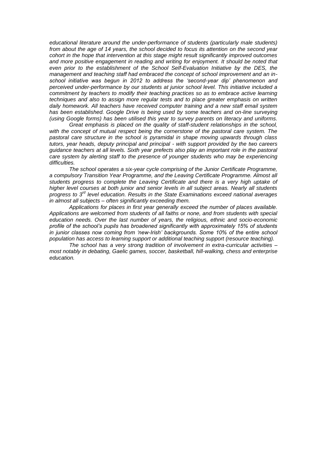*educational literature around the under-performance of students (particularly male students) from about the age of 14 years, the school decided to focus its attention on the second year cohort in the hope that intervention at this stage might result significantly improved outcomes and more positive engagement in reading and writing for enjoyment. It should be noted that even prior to the establishment of the School Self-Evaluation Initiative by the DES, the management and teaching staff had embraced the concept of school improvement and an inschool initiative was begun in 2012 to address the 'second-year dip' phenomenon and perceived under-performance by our students at junior school level. This initiative included a commitment by teachers to modify their teaching practices so as to embrace active learning techniques and also to assign more regular tests and to place greater emphasis on written daily homework. All teachers have received computer training and a new staff email system has been established. Google Drive is being used by some teachers and on-line surveying (using Google forms) has been utilised this year to survey parents on literacy and uniforms.*

*Great emphasis is placed on the quality of staff-student relationships in the school, with the concept of mutual respect being the cornerstone of the pastoral care system. The pastoral care structure in the school is pyramidal in shape moving upwards through class tutors, year heads, deputy principal and principal - with support provided by the two careers guidance teachers at all levels. Sixth year prefects also play an important role in the pastoral care system by alerting staff to the presence of younger students who may be experiencing difficulties.* 

*The school operates a six-year cycle comprising of the Junior Certificate Programme, a compulsory Transition Year Programme, and the Leaving Certificate Programme. Almost all students progress to complete the Leaving Certificate and there is a very high uptake of higher level courses at both junior and senior levels in all subject areas. Nearly all students progress to 3rd level education. Results in the State Examinations exceed national averages in almost all subjects – often significantly exceeding them.* 

*Applications for places in first year generally exceed the number of places available. Applications are welcomed from students of all faiths or none, and from students with special education needs. Over the last number of years, the religious, ethnic and socio-economic profile of the school's pupils has broadened significantly with approximately 15% of students in junior classes now coming from 'new-Irish' backgrounds. Some 10% of the entire school population has access to learning support or additional teaching support (resource teaching).* 

*The school has a very strong tradition of involvement in extra-curricular activities – most notably in debating, Gaelic games, soccer, basketball, hill-walking, chess and enterprise education.*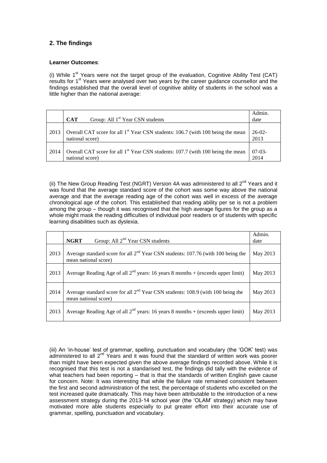## **2. The findings**

#### **Learner Outcomes**:

(i) While  $1<sup>st</sup>$  Years were not the target group of the evaluation, Cognitive Ability Test (CAT) results for 1<sup>st</sup> Years were analysed over two years by the career guidance counsellor and the findings established that the overall level of cognitive ability of students in the school was a little higher than the national average:

|      | Group: All 1 <sup>st</sup> Year CSN students<br><b>CAT</b>                                                     | Admin.<br>date   |
|------|----------------------------------------------------------------------------------------------------------------|------------------|
| 2013 | Overall CAT score for all 1 <sup>st</sup> Year CSN students: 106.7 (with 100 being the mean<br>national score) | $26-02-$<br>2013 |
| 2014 | Overall CAT score for all 1 <sup>st</sup> Year CSN students: 107.7 (with 100 being the mean<br>national score) | $07-03-$<br>2014 |

(ii) The New Group Reading Test (NGRT) Version 4A was administered to all  $2^{nd}$  Years and it was found that the average standard score of the cohort was some way above the national average and that the average reading age of the cohort was well in excess of the average chronological age of the cohort. This established that reading ability per se is not a problem among the group – though it was recognised that the high average figures for the group as a whole might mask the reading difficulties of individual poor readers or of students with specific learning disabilities such as dyslexia.

|      | Group: All 2 <sup>nd</sup> Year CSN students<br><b>NGRT</b>                                                | Admin.<br>date |
|------|------------------------------------------------------------------------------------------------------------|----------------|
| 2013 | Average standard score for all $2nd$ Year CSN students: 107.76 (with 100 being the<br>mean national score) | May 2013       |
| 2013 | Average Reading Age of all $2^{nd}$ years: 16 years 8 months + (exceeds upper limit)                       | May 2013       |
| 2014 | Average standard score for all $2nd$ Year CSN students: 108.9 (with 100 being the<br>mean national score)  | May 2013       |
| 2013 | Average Reading Age of all $2^{nd}$ years: 16 years 8 months + (exceeds upper limit)                       | May 2013       |

(iii) An 'in-house' test of grammar, spelling, punctuation and vocabulary (the 'GOK' test) was administered to all 2<sup>nd</sup> Years and it was found that the standard of written work was poorer than might have been expected given the above average findings recorded above. While it is recognised that this test is not a standarised test, the findings did tally with the evidence of what teachers had been reporting – that is that the standards of written English gave cause for concern. Note: It was interesting that while the failure rate remained consistent between the first and second administration of the test, the percentage of students who excelled on the test increased quite dramatically. This may have been attributable to the introduction of a new assessment strategy during the 2013-14 school year (the 'OLAM' strategy) which may have motivated more able students especially to put greater effort into their accurate use of grammar, spelling, punctuation and vocabulary.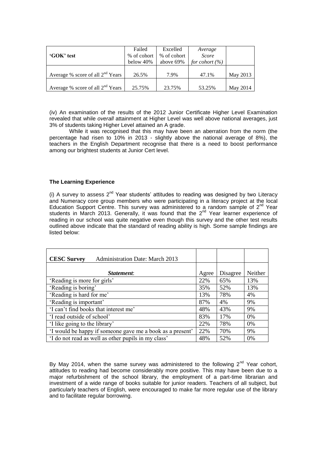|                                    | Failed      | Excelled    | Average            |          |
|------------------------------------|-------------|-------------|--------------------|----------|
| 'GOK' test                         | % of cohort | % of cohort | <b>Score</b>       |          |
|                                    | below 40%   | above 69%   | for cohort $(\% )$ |          |
|                                    |             |             |                    |          |
| Average % score of all $2nd$ Years | 26.5%       | 7.9%        | 47.1%              | May 2013 |
|                                    |             |             |                    |          |
| Average % score of all $2nd$ Years | 25.75%      | 23.75%      | 53.25%             | May 2014 |

(iv) An examination of the results of the 2012 Junior Certificate Higher Level Examination revealed that while *overall* attainment at Higher Level was well above national averages, just 3% of students taking Higher Level attained an A grade.

While it was recognised that this may have been an aberration from the norm (the percentage had risen to 10% in 2013 - slightly above the national average of 8%), the teachers in the English Department recognise that there is a need to boost performance among our brightest students at Junior Cert level.

#### **The Learning Experience**

(i) A survey to assess  $2^{nd}$  Year students' attitudes to reading was designed by two Literacy and Numeracy core group members who were participating in a literacy project at the local Education Support Centre. This survey was administered to a random sample of  $2^{nd}$  Year students in March 2013. Generally, it was found that the  $2^{nd}$  Year learner experience of reading in our school was quite negative even though this survey and the other test results outlined above indicate that the standard of reading ability is high. Some sample findings are listed below:

| <b>CESC Survey</b><br><b>Administration Date: March 2013</b> |       |          |         |
|--------------------------------------------------------------|-------|----------|---------|
|                                                              |       |          |         |
| <i>Statement:</i>                                            | Agree | Disagree | Neither |
| 'Reading is more for girls'                                  | 22%   | 65%      | 13%     |
| 'Reading is boring'                                          | 35%   | 52%      | 13%     |
| 'Reading is hard for me'                                     | 13%   | 78%      | 4%      |
| 'Reading is important'                                       | 87%   | 4%       | 9%      |
| 'I can't find books that interest me'                        | 48%   | 43%      | 9%      |
| 'I read outside of school'                                   |       | 17%      | $0\%$   |
| 'I like going to the library'                                |       | 78%      | $0\%$   |
| 'I would be happy if someone gave me a book as a present'    | 22%   | 70%      | 9%      |
| 'I do not read as well as other pupils in my class'          | 48%   | 52%      | 0%      |

By May 2014, when the same survey was administered to the following  $2^{nd}$  Year cohort, attitudes to reading had become considerably more positive. This may have been due to a major refurbishment of the school library, the employment of a part-time librarian and investment of a wide range of books suitable for junior readers. Teachers of all subject, but particularly teachers of English, were encouraged to make far more regular use of the library and to facilitate regular borrowing.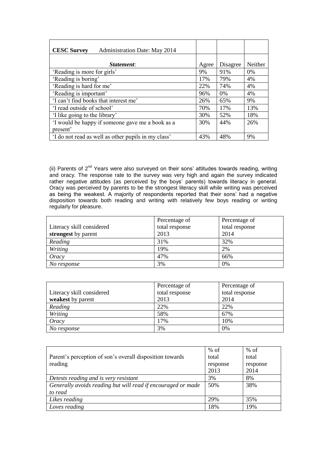| <b>CESC Survey</b><br><b>Administration Date: May 2014</b> |       |          |         |
|------------------------------------------------------------|-------|----------|---------|
|                                                            |       |          |         |
| <i>Statement:</i>                                          | Agree | Disagree | Neither |
| 'Reading is more for girls'                                | 9%    | 91%      | $0\%$   |
| 'Reading is boring'                                        | 17%   | 79%      | 4%      |
| 'Reading is hard for me'                                   | 22%   | 74%      | 4%      |
| 'Reading is important'                                     | 96%   | $0\%$    | 4%      |
| 'I can't find books that interest me'                      | 26%   | 65%      | 9%      |
| 'I read outside of school'                                 | 70%   | 17%      | 13%     |
| 'I like going to the library'                              | 30%   | 52%      | 18%     |
| 'I would be happy if someone gave me a book as a           | 30%   | 44%      | 26%     |
| present'                                                   |       |          |         |
| 'I do not read as well as other pupils in my class'        | 43%   | 48%      | 9%      |

(ii) Parents of  $2^{nd}$  Years were also surveyed on their sons' attitudes towards reading, writing and oracy. The response rate to the survey was very high and again the survey indicated rather negative attitudes (as perceived by the boys' parents) towards literacy in general. Oracy was perceived by parents to be the strongest literacy skill while writing was perceived as being the weakest. A majority of respondents reported that their sons' had a negative disposition towards both reading and writing with relatively few boys reading or writing regularly for pleasure.

|                           | Percentage of  | Percentage of  |
|---------------------------|----------------|----------------|
| Literacy skill considered | total response | total response |
| strongest by parent       | 2013           | 2014           |
| Reading                   | 31%            | 32%            |
| Writing                   | 19%            | 2%             |
| Oracy                     | 47%            | 66%            |
| No response               | 3%             | 0%             |

|                           | Percentage of  | Percentage of  |
|---------------------------|----------------|----------------|
| Literacy skill considered | total response | total response |
| weakest by parent         | 2013           | 2014           |
| Reading                   | 22%            | 22%            |
| Writing                   | 58%            | 67%            |
| Oracy                     | 17%            | 10%            |
| No response               | 3%             | 0%             |

|                                                              | $%$ of   | $%$ of   |
|--------------------------------------------------------------|----------|----------|
| Parent's perception of son's overall disposition towards     | total    | total    |
| reading                                                      | response | response |
|                                                              | 2013     | 2014     |
| Detests reading and is very resistant                        | 3%       | 8%       |
| Generally avoids reading but will read if encouraged or made | 50%      | 38%      |
| to read                                                      |          |          |
| Likes reading                                                | 29%      | 35%      |
| Loves reading                                                | 18%      | 19%      |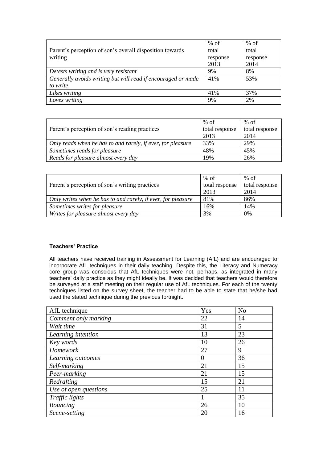|                                                              | $%$ of   | $%$ of   |
|--------------------------------------------------------------|----------|----------|
| Parent's perception of son's overall disposition towards     | total    | total    |
| writing                                                      | response | response |
|                                                              | 2013     | 2014     |
| Detests writing and is very resistant                        | 9%       | 8%       |
| Generally avoids writing but will read if encouraged or made | 41%      | 53%      |
| to write                                                     |          |          |
| Likes writing                                                | 41%      | 37%      |
| Loves writing                                                | 9%       | 2%       |

|                                                             | $%$ of         | % of           |
|-------------------------------------------------------------|----------------|----------------|
| Parent's perception of son's reading practices              | total response | total response |
|                                                             | 2013           | 2014           |
| Only reads when he has to and rarely, if ever, for pleasure | 33%            | 29%            |
| Sometimes reads for pleasure                                | 48%            | 45%            |
| Reads for pleasure almost every day                         | 19%            | 26%            |

|                                                              | $%$ of         | $%$ of         |
|--------------------------------------------------------------|----------------|----------------|
| Parent's perception of son's writing practices               | total response | total response |
|                                                              | 2013           | 2014           |
| Only writes when he has to and rarely, if ever, for pleasure | 81%            | 86%            |
| Sometimes writes for pleasure                                | 16%            | 14%            |
| Writes for pleasure almost every day                         | 3%             | 0%             |

## **Teachers' Practice**

All teachers have received training in Assessment for Learning (AfL) and are encouraged to incorporate AfL techniques in their daily teaching. Despite this, the Literacy and Numeracy core group was conscious that AfL techniques were not, perhaps, as integrated in many teachers' daily practice as they might ideally be. It was decided that teachers would therefore be surveyed at a staff meeting on their regular use of AfL techniques. For each of the twenty techniques listed on the survey sheet, the teacher had to be able to state that he/she had used the stated technique during the previous fortnight.

| AfL technique         | Yes | N <sub>o</sub> |
|-----------------------|-----|----------------|
| Comment only marking  | 22  | 14             |
| Wait time             | 31  | 5              |
| Learning intention    | 13  | 23             |
| Key words             | 10  | 26             |
| Homework              | 27  | 9              |
| Learning outcomes     | 0   | 36             |
| Self-marking          | 21  | 15             |
| Peer-marking          | 21  | 15             |
| Redrafting            | 15  | 21             |
| Use of open questions | 25  | 11             |
| Traffic lights        |     | 35             |
| <b>Bouncing</b>       | 26  | 10             |
| Scene-setting         | 20  | 16             |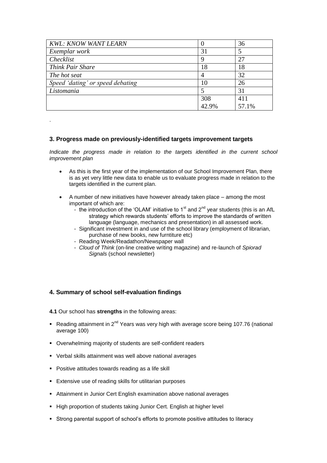| <b>KWL: KNOW WANT LEARN</b>      |       | 36    |
|----------------------------------|-------|-------|
| Exemplar work                    | 31    | 5     |
| Checklist                        |       | 27    |
| Think Pair Share                 | 18    | 18    |
| The hot seat                     |       | 32    |
| Speed 'dating' or speed debating | 10    | 26    |
| Listomania                       |       | 31    |
|                                  | 308   | 411   |
|                                  | 42.9% | 57.1% |

### **3. Progress made on previously-identified targets improvement targets**

*Indicate the progress made in relation to the targets identified in the current school improvement plan*

- As this is the first year of the implementation of our School Improvement Plan, there is as yet very little new data to enable us to evaluate progress made in relation to the targets identified in the current plan.
- A number of new initiatives have however already taken place among the most important of which are:
	- the introduction of the 'OLAM' initiative to  $1<sup>st</sup>$  and  $2<sup>nd</sup>$  year students (this is an AfL strategy which rewards students' efforts to improve the standards of written language (language, mechanics and presentation) in all assessed work.
	- Significant investment in and use of the school library (employment of librarian, purchase of new books, new furntiture etc)
	- Reading Week/Readathon/Newspaper wall
	- *Cloud of Think* (on-line creative writing magazine) and re-launch of *Spiorad Signals* (school newsletter)

## **4. Summary of school self-evaluation findings**

.

**4.1** Our school has **strengths** in the following areas:

- Reading attainment in  $2^{nd}$  Years was very high with average score being 107.76 (national average 100)
- Overwhelming majority of students are self-confident readers
- Verbal skills attainment was well above national averages
- **Positive attitudes towards reading as a life skill**
- **Extensive use of reading skills for utilitarian purposes**
- Attainment in Junior Cert English examination above national averages
- High proportion of students taking Junior Cert. English at higher level
- Strong parental support of school's efforts to promote positive attitudes to literacy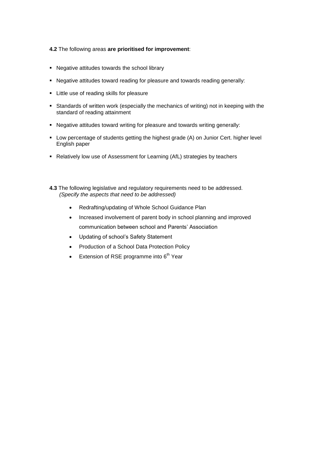#### **4.2** The following areas **are prioritised for improvement**:

- Negative attitudes towards the school library
- Negative attitudes toward reading for pleasure and towards reading generally:
- **EXECT:** Little use of reading skills for pleasure
- Standards of written work (especially the mechanics of writing) not in keeping with the standard of reading attainment
- Negative attitudes toward writing for pleasure and towards writing generally:
- Low percentage of students getting the highest grade (A) on Junior Cert. higher level English paper
- Relatively low use of Assessment for Learning (AfL) strategies by teachers
- **4.3** The following legislative and regulatory requirements need to be addressed. *(Specify the aspects that need to be addressed)*
	- Redrafting/updating of Whole School Guidance Plan
	- Increased involvement of parent body in school planning and improved communication between school and Parents' Association
	- Updating of school's Safety Statement
	- Production of a School Data Protection Policy
	- Extension of RSE programme into  $6<sup>th</sup>$  Year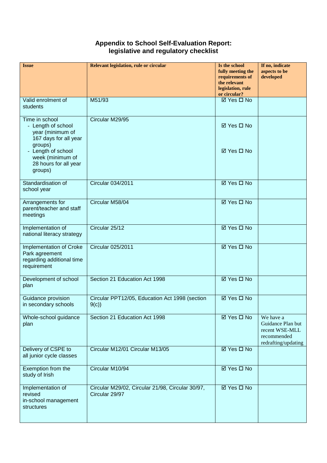## **Appendix to School Self-Evaluation Report: legislative and regulatory checklist**

| <b>Issue</b>                                                                                                                                                    | Relevant legislation, rule or circular                             | Is the school<br>fully meeting the<br>requirements of<br>the relevant<br>legislation, rule<br>or circular? | If no, indicate<br>aspects to be<br>developed                                          |
|-----------------------------------------------------------------------------------------------------------------------------------------------------------------|--------------------------------------------------------------------|------------------------------------------------------------------------------------------------------------|----------------------------------------------------------------------------------------|
| Valid enrolment of<br>students                                                                                                                                  | M51/93                                                             | <b>Ø</b> Yes <b>□</b> No                                                                                   |                                                                                        |
| Time in school<br>- Length of school<br>year (minimum of<br>167 days for all year<br>groups)<br>- Length of school<br>week (minimum of<br>28 hours for all year | Circular M29/95                                                    | ⊠ Yes □ No<br>⊠ Yes □ No                                                                                   |                                                                                        |
| groups)                                                                                                                                                         |                                                                    |                                                                                                            |                                                                                        |
| Standardisation of<br>school year                                                                                                                               | Circular 034/2011                                                  | ⊠ Yes □ No                                                                                                 |                                                                                        |
| Arrangements for<br>parent/teacher and staff<br>meetings                                                                                                        | Circular M58/04                                                    | $\overline{\boxtimes}$ Yes $\Box$ No                                                                       |                                                                                        |
| Implementation of<br>national literacy strategy                                                                                                                 | Circular 25/12                                                     | $\overline{\boxtimes}$ Yes $\Box$ No                                                                       |                                                                                        |
| Implementation of Croke<br>Park agreement<br>regarding additional time<br>requirement                                                                           | Circular 025/2011                                                  | $\overline{\boxtimes$ Yes $\Box$ No                                                                        |                                                                                        |
| Development of school<br>plan                                                                                                                                   | Section 21 Education Act 1998                                      | ☑ Yes □ No                                                                                                 |                                                                                        |
| Guidance provision<br>in secondary schools                                                                                                                      | Circular PPT12/05, Education Act 1998 (section<br>9(c)             | ⊠ Yes □ No                                                                                                 |                                                                                        |
| Whole-school guidance<br>plan                                                                                                                                   | Section 21 Education Act 1998                                      | $\overline{\boxtimes}$ Yes $\Box$ No                                                                       | We have a<br>Guidance Plan but<br>recent WSE-MLL<br>recommended<br>redrafting/updating |
| Delivery of CSPE to<br>all junior cycle classes                                                                                                                 | Circular M12/01 Circular M13/05                                    | $\overline{\boxtimes$ Yes $\Box$ No                                                                        |                                                                                        |
| Exemption from the<br>study of Irish                                                                                                                            | Circular M10/94                                                    | $\overline{\boxtimes$ Yes $\Box$ No                                                                        |                                                                                        |
| Implementation of<br>revised<br>in-school management<br>structures                                                                                              | Circular M29/02, Circular 21/98, Circular 30/97,<br>Circular 29/97 | <b>ØYes □</b> No                                                                                           |                                                                                        |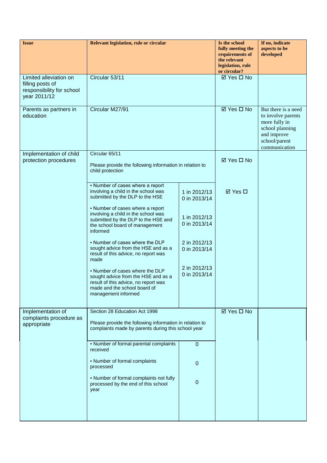| <b>Issue</b>                                                                            | Relevant legislation, rule or circular                                                                                                                                |                              | Is the school<br>fully meeting the<br>requirements of<br>the relevant<br>legislation, rule<br>or circular? | If no, indicate<br>aspects to be<br>developed                                                                                  |
|-----------------------------------------------------------------------------------------|-----------------------------------------------------------------------------------------------------------------------------------------------------------------------|------------------------------|------------------------------------------------------------------------------------------------------------|--------------------------------------------------------------------------------------------------------------------------------|
| Limited alleviation on<br>filling posts of<br>responsibility for school<br>year 2011/12 | Circular 53/11                                                                                                                                                        |                              | $\overline{\boxtimes$ Yes $\Box$ No                                                                        |                                                                                                                                |
| Parents as partners in<br>education                                                     | Circular M27/91                                                                                                                                                       |                              | ☑ Yes □ No                                                                                                 | But there is a need<br>to involve parents<br>more fully in<br>school planning<br>and improve<br>school/parent<br>communication |
| Implementation of child<br>protection procedures                                        | Circular 65/11<br>Please provide the following information in relation to<br>child protection                                                                         |                              | <b>Ø</b> Yes <b>□</b> No                                                                                   |                                                                                                                                |
|                                                                                         | • Number of cases where a report<br>involving a child in the school was<br>submitted by the DLP to the HSE<br>• Number of cases where a report                        | 1 in 2012/13<br>0 in 2013/14 | <b>ØYes</b> □                                                                                              |                                                                                                                                |
|                                                                                         | involving a child in the school was<br>submitted by the DLP to the HSE and<br>the school board of management<br>informed                                              | 1 in 2012/13<br>0 in 2013/14 |                                                                                                            |                                                                                                                                |
|                                                                                         | . Number of cases where the DLP<br>sought advice from the HSE and as a<br>result of this advice, no report was<br>made                                                | 2 in 2012/13<br>0 in 2013/14 |                                                                                                            |                                                                                                                                |
|                                                                                         | . Number of cases where the DLP<br>sought advice from the HSE and as a<br>result of this advice, no report was<br>made and the school board of<br>management informed | 2 in 2012/13<br>0 in 2013/14 |                                                                                                            |                                                                                                                                |
| Implementation of<br>complaints procedure as<br>appropriate                             | Section 28 Education Act 1998<br>Please provide the following information in relation to                                                                              |                              | ☑ Yes □ No                                                                                                 |                                                                                                                                |
|                                                                                         | complaints made by parents during this school year                                                                                                                    |                              |                                                                                                            |                                                                                                                                |
|                                                                                         | • Number of formal parental complaints<br>received                                                                                                                    | 0                            |                                                                                                            |                                                                                                                                |
|                                                                                         | • Number of formal complaints<br>processed                                                                                                                            | 0                            |                                                                                                            |                                                                                                                                |
|                                                                                         | • Number of formal complaints not fully<br>processed by the end of this school<br>year                                                                                | 0                            |                                                                                                            |                                                                                                                                |
|                                                                                         |                                                                                                                                                                       |                              |                                                                                                            |                                                                                                                                |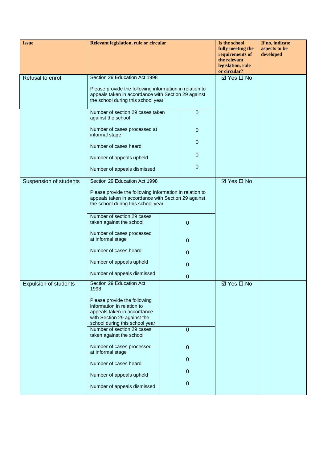| <b>Issue</b>                 | Relevant legislation, rule or circular                                                                                                                     |  | Is the school<br>fully meeting the<br>requirements of<br>the relevant<br>legislation, rule<br>or circular? | If no, indicate<br>aspects to be<br>developed |  |
|------------------------------|------------------------------------------------------------------------------------------------------------------------------------------------------------|--|------------------------------------------------------------------------------------------------------------|-----------------------------------------------|--|
| Refusal to enrol             | Section 29 Education Act 1998                                                                                                                              |  |                                                                                                            | ⊠ Yes □ No                                    |  |
|                              | Please provide the following information in relation to<br>appeals taken in accordance with Section 29 against<br>the school during this school year       |  |                                                                                                            |                                               |  |
|                              | Number of section 29 cases taken<br>against the school                                                                                                     |  | $\pmb{0}$                                                                                                  |                                               |  |
|                              | Number of cases processed at<br>informal stage                                                                                                             |  | $\pmb{0}$                                                                                                  |                                               |  |
|                              | Number of cases heard                                                                                                                                      |  | $\mathbf 0$                                                                                                |                                               |  |
|                              | Number of appeals upheld                                                                                                                                   |  | 0                                                                                                          |                                               |  |
|                              | Number of appeals dismissed                                                                                                                                |  | $\pmb{0}$                                                                                                  |                                               |  |
| Suspension of students       | Section 29 Education Act 1998                                                                                                                              |  |                                                                                                            | ⊠ Yes □ No                                    |  |
|                              | Please provide the following information in relation to<br>appeals taken in accordance with Section 29 against<br>the school during this school year       |  |                                                                                                            |                                               |  |
|                              | Number of section 29 cases<br>taken against the school                                                                                                     |  | $\mathbf 0$                                                                                                |                                               |  |
|                              | Number of cases processed<br>at informal stage                                                                                                             |  | $\mathbf{0}$                                                                                               |                                               |  |
|                              | Number of cases heard                                                                                                                                      |  | $\mathbf 0$                                                                                                |                                               |  |
|                              | Number of appeals upheld                                                                                                                                   |  | 0                                                                                                          |                                               |  |
|                              | Number of appeals dismissed                                                                                                                                |  | 0                                                                                                          |                                               |  |
| <b>Expulsion of students</b> | Section 29 Education Act<br>1998                                                                                                                           |  |                                                                                                            | $\boxtimes$ Yes $\square$ No                  |  |
|                              | Please provide the following<br>information in relation to<br>appeals taken in accordance<br>with Section 29 against the<br>school during this school year |  |                                                                                                            |                                               |  |
|                              | Number of section 29 cases<br>taken against the school                                                                                                     |  | $\mathbf 0$                                                                                                |                                               |  |
|                              | Number of cases processed<br>at informal stage                                                                                                             |  | $\mathbf{0}$                                                                                               |                                               |  |
|                              | Number of cases heard                                                                                                                                      |  | $\mathbf{0}$                                                                                               |                                               |  |
|                              | Number of appeals upheld                                                                                                                                   |  | $\mathbf 0$                                                                                                |                                               |  |
|                              | Number of appeals dismissed                                                                                                                                |  | $\pmb{0}$                                                                                                  |                                               |  |